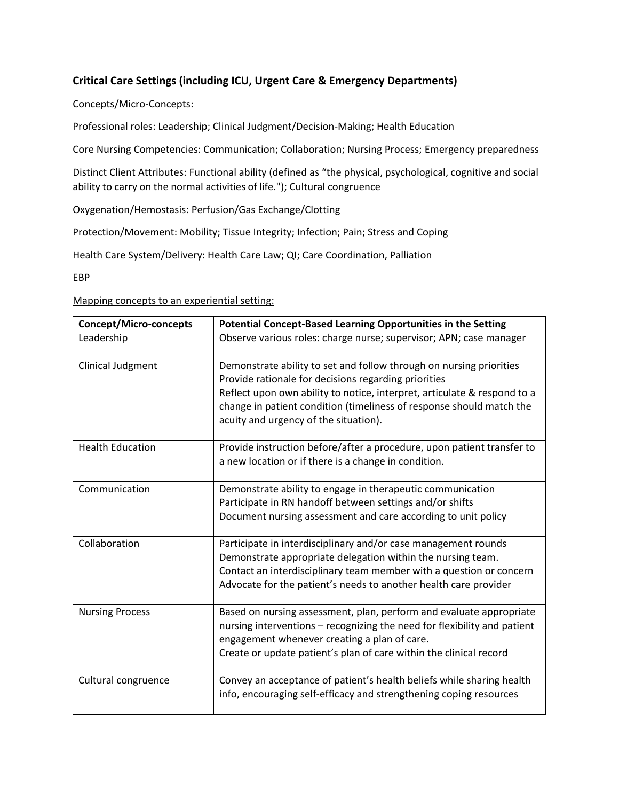## **Critical Care Settings (including ICU, Urgent Care & Emergency Departments)**

## Concepts/Micro-Concepts:

Professional roles: Leadership; Clinical Judgment/Decision-Making; Health Education

Core Nursing Competencies: Communication; Collaboration; Nursing Process; Emergency preparedness

Distinct Client Attributes: Functional ability (defined as "the physical, psychological, cognitive and social ability to carry on the normal activities of life."); Cultural congruence

Oxygenation/Hemostasis: Perfusion/Gas Exchange/Clotting

Protection/Movement: Mobility; Tissue Integrity; Infection; Pain; Stress and Coping

Health Care System/Delivery: Health Care Law; QI; Care Coordination, Palliation

EBP

Mapping concepts to an experiential setting:

| <b>Concept/Micro-concepts</b> | Potential Concept-Based Learning Opportunities in the Setting                                                                                                                                                                                                                                                            |
|-------------------------------|--------------------------------------------------------------------------------------------------------------------------------------------------------------------------------------------------------------------------------------------------------------------------------------------------------------------------|
| Leadership                    | Observe various roles: charge nurse; supervisor; APN; case manager                                                                                                                                                                                                                                                       |
| Clinical Judgment             | Demonstrate ability to set and follow through on nursing priorities<br>Provide rationale for decisions regarding priorities<br>Reflect upon own ability to notice, interpret, articulate & respond to a<br>change in patient condition (timeliness of response should match the<br>acuity and urgency of the situation). |
| <b>Health Education</b>       | Provide instruction before/after a procedure, upon patient transfer to<br>a new location or if there is a change in condition.                                                                                                                                                                                           |
| Communication                 | Demonstrate ability to engage in therapeutic communication<br>Participate in RN handoff between settings and/or shifts<br>Document nursing assessment and care according to unit policy                                                                                                                                  |
| Collaboration                 | Participate in interdisciplinary and/or case management rounds<br>Demonstrate appropriate delegation within the nursing team.<br>Contact an interdisciplinary team member with a question or concern<br>Advocate for the patient's needs to another health care provider                                                 |
| <b>Nursing Process</b>        | Based on nursing assessment, plan, perform and evaluate appropriate<br>nursing interventions - recognizing the need for flexibility and patient<br>engagement whenever creating a plan of care.<br>Create or update patient's plan of care within the clinical record                                                    |
| Cultural congruence           | Convey an acceptance of patient's health beliefs while sharing health<br>info, encouraging self-efficacy and strengthening coping resources                                                                                                                                                                              |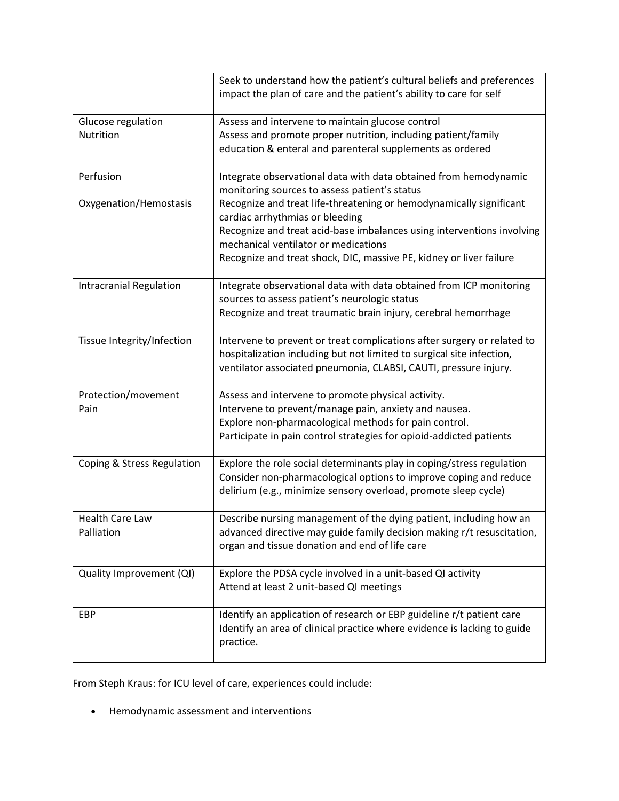|                                | Seek to understand how the patient's cultural beliefs and preferences                                                                |
|--------------------------------|--------------------------------------------------------------------------------------------------------------------------------------|
|                                | impact the plan of care and the patient's ability to care for self                                                                   |
| Glucose regulation             | Assess and intervene to maintain glucose control                                                                                     |
| Nutrition                      | Assess and promote proper nutrition, including patient/family                                                                        |
|                                | education & enteral and parenteral supplements as ordered                                                                            |
| Perfusion                      | Integrate observational data with data obtained from hemodynamic                                                                     |
|                                | monitoring sources to assess patient's status                                                                                        |
| Oxygenation/Hemostasis         | Recognize and treat life-threatening or hemodynamically significant<br>cardiac arrhythmias or bleeding                               |
|                                | Recognize and treat acid-base imbalances using interventions involving                                                               |
|                                | mechanical ventilator or medications                                                                                                 |
|                                | Recognize and treat shock, DIC, massive PE, kidney or liver failure                                                                  |
| <b>Intracranial Regulation</b> | Integrate observational data with data obtained from ICP monitoring                                                                  |
|                                | sources to assess patient's neurologic status<br>Recognize and treat traumatic brain injury, cerebral hemorrhage                     |
|                                |                                                                                                                                      |
| Tissue Integrity/Infection     | Intervene to prevent or treat complications after surgery or related to                                                              |
|                                | hospitalization including but not limited to surgical site infection,                                                                |
|                                | ventilator associated pneumonia, CLABSI, CAUTI, pressure injury.                                                                     |
| Protection/movement            | Assess and intervene to promote physical activity.                                                                                   |
| Pain                           | Intervene to prevent/manage pain, anxiety and nausea.                                                                                |
|                                | Explore non-pharmacological methods for pain control.<br>Participate in pain control strategies for opioid-addicted patients         |
|                                |                                                                                                                                      |
| Coping & Stress Regulation     | Explore the role social determinants play in coping/stress regulation                                                                |
|                                | Consider non-pharmacological options to improve coping and reduce<br>delirium (e.g., minimize sensory overload, promote sleep cycle) |
|                                |                                                                                                                                      |
| <b>Health Care Law</b>         | Describe nursing management of the dying patient, including how an                                                                   |
| Palliation                     | advanced directive may guide family decision making r/t resuscitation,<br>organ and tissue donation and end of life care             |
|                                |                                                                                                                                      |
| Quality Improvement (QI)       | Explore the PDSA cycle involved in a unit-based QI activity                                                                          |
|                                | Attend at least 2 unit-based QI meetings                                                                                             |
| EBP                            | Identify an application of research or EBP guideline r/t patient care                                                                |
|                                | Identify an area of clinical practice where evidence is lacking to guide                                                             |
|                                | practice.                                                                                                                            |

From Steph Kraus: for ICU level of care, experiences could include:

Hemodynamic assessment and interventions